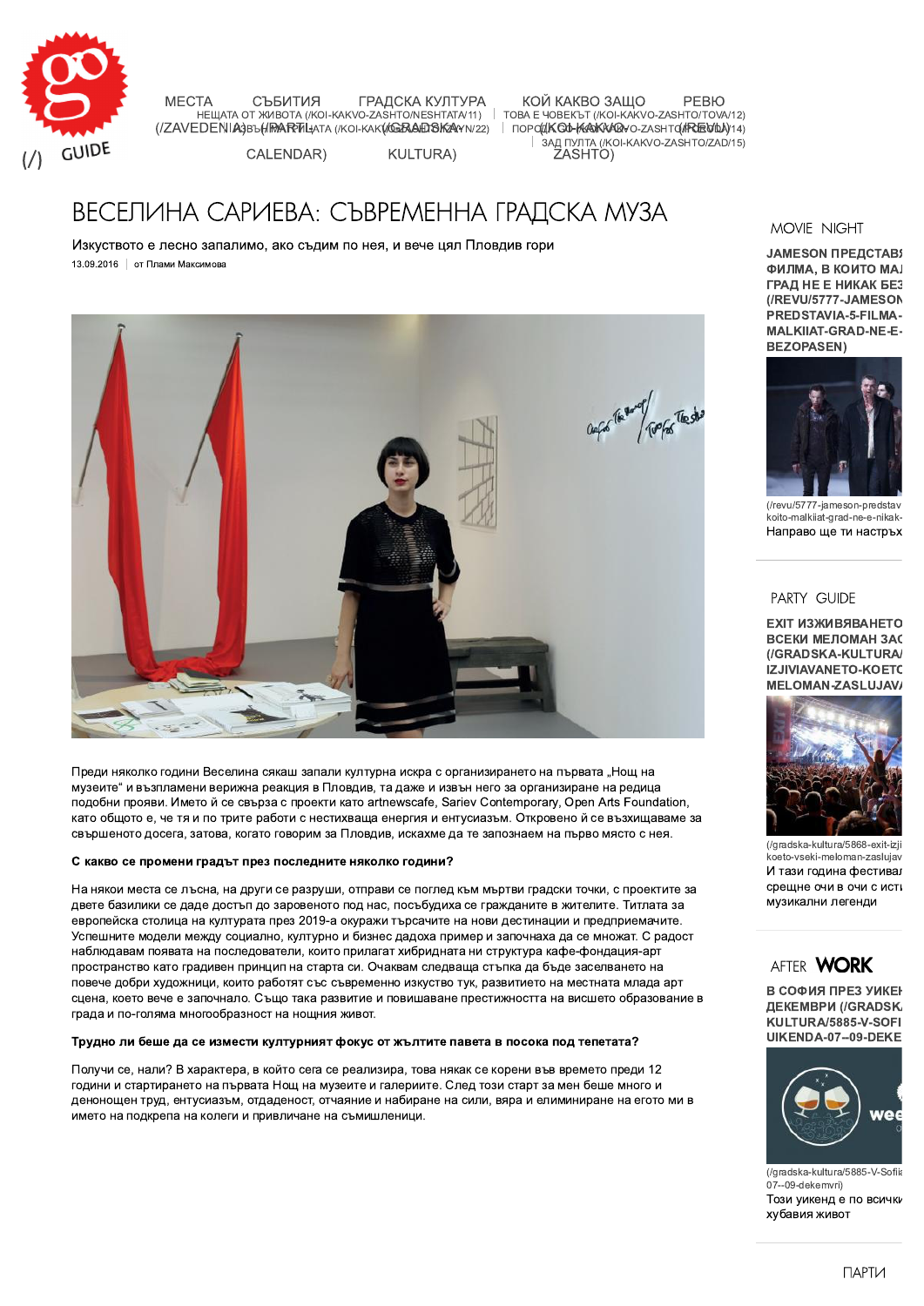

**MECTA** СЪБИТИЯ ГРАДСКА КУЛТУРА лись и совета и совета и совета и совета и совета и совета и совета.<br>НЕЩАТА ОТ ЖИВОТА (/KOI-KAKVO-ZASHTO/NESHTATA/11) | ТОВА Е ЧОВЕКЪТ (/KOI-KAKVO-ZASHTO/TOVA/12)

КОЙ КАКВО ЗАШО **PEBIO** (IZAVEDENIA) BUHRARPDLIATA (KOI-KAKVGRABDSKAYNIZZ) | TOPOLIKOD-KAKKAROVO-ZASHTO/REDU) 14) 3АД ПУЛТА (/KOI-KAKVO-ZASHTO/ZAD/15) ZASHTO)

**KULTURA)** CALENDAR)

# ВЕСЕЛИНА САРИЕВА: СЪВРЕМЕННА ГРАДСКА МУЗА

Изкуството е лесно запалимо, ако съдим по нея, и вече цял Пловдив гори 13.09.2016 | от Плами Максимова



Преди няколко години Веселина сякаш запали културна искра с организирането на първата "Нощ на музеите" и възпламени верижна реакция в Пловдив, та даже и извън него за организиране на редица подобни прояви. Името й се свърза с проекти като artnewscafe, Sariev Contemporary, Open Arts Foundation, като общото е, че тя и по трите работи с нестихваща енергия и ентусиазъм. Откровено й се възхищаваме за свършеното досега, затова, когато говорим за Пловдив, искахме да те запознаем на първо място с нея.

#### С какво се промени градът през последните няколко години?

На някои места се лъсна, на други се разруши, отправи се поглед към мъртви градски точки, с проектите за двете базилики се даде достъп до заровеното под нас, посъбудиха се гражданите в жителите. Титлата за европейска столица на културата през 2019-а окуражи търсачите на нови дестинации и предприемачите. Успешните модели между социално, културно и бизнес дадоха пример и започнаха да се множат. С радост наблюдавам появата на последователи, които прилагат хибридната ни структура кафе-фондация-арт пространство като градивен принцип на старта си. Очаквам следваща стъпка да бъде заселването на повече добри художници, които работят със съвременно изкуство тук, развитието на местната млада арт сцена, което вече е започнало. Също така развитие и повишаване престижността на висшето образование в града и по-голяма многообразност на нощния живот.

#### Трудно ли беше да се измести културният фокус от жълтите павета в посока под тепетата?

Получи се, нали? В характера, в който сега се реализира, това някак се корени във времето преди 12 години и стартирането на първата Нощ на музеите и галериите. След този старт за мен беше много и денонощен труд, ентусиазъм, отдаденост, отчаяние и набиране на сили, вяра и елиминиране на егото ми в името на подкрепа на колеги и привличане на съмишленици.

## MOVIE NIGHT

**JAMESON ПРЕДСТАВ! ФИЛМА, В КОИТО МА**Ј **ГРАД НЕ Е НИКАК БЕЗ** (/REVU/5777-JAMESON PREDSTAVIA-5-FILMA-MALKIIAT-GRAD-NE-E-**BEZOPASEN)** 



(/revu/5777-jameson-predstav koito-malkiiat-grad-ne-e-nikak-Направо ще ти настръх

### **PARTY GUIDE**

ЕХІТ ИЗЖИВЯВАНЕТО ВСЕКИ МЕЛОМАН ЗАС (/GRADSKA-KULTURA) IZJIVIAVANETO-KOET( MELOMAN-ZASLUJAV/



(/gradska-kultura/5868-exit-izji koeto-vseki-meloman-zaslujav И тази година фестивал срещне очи в очи с исті музикални пегенли

# AFTER **WORK**

В СОФИЯ ПРЕЗ УИКЕН **ДЕКЕМВРИ (/GRADSK.** KULTURA/5885-V-SOFI UIKENDA-07--09-DEKE



(/gradska-kultura/5885-V-Sofiia 07--09-dekemvri) Този уикенд е по всички хубавия живот